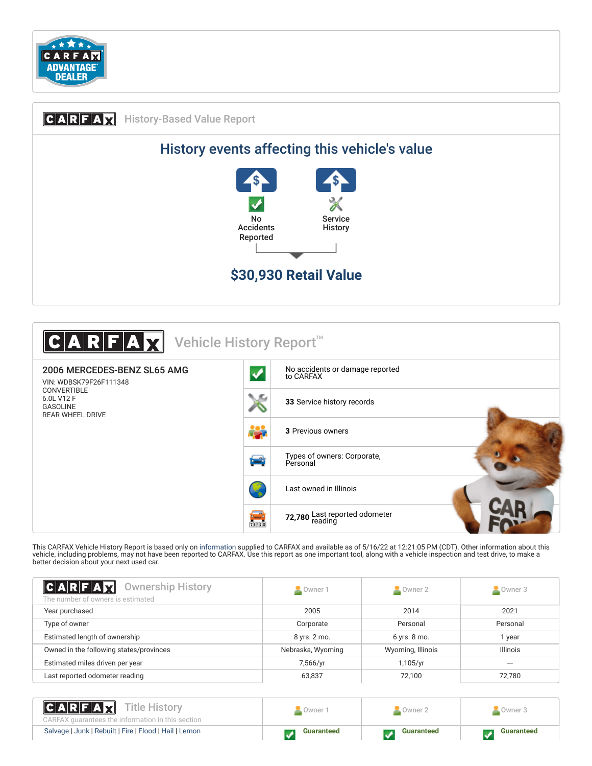

## C ARF AX History-Based Value Report History events affecting this vehicle's value No Accidents Reported Service **History \$30,930 Retail Value**



This CARFAX Vehicle History Report is based only on [information](http://www.carfax.com/company/vhr-data-sources) supplied to CARFAX and available as of 5/16/22 at 12:21:05 PM (CDT). Other information about this<br>vehicle, including problems, may not have been reported to C better decision about your next used car.

<span id="page-0-0"></span>

| C A R F A R<br><b>Ownership History</b><br>The number of owners is estimated | Owner 1           | Owner 2           | Owner 3         |
|------------------------------------------------------------------------------|-------------------|-------------------|-----------------|
| Year purchased                                                               | 2005              | 2014              | 2021            |
| Type of owner                                                                | Corporate         | Personal          | Personal        |
| Estimated length of ownership                                                | 8 yrs. 2 mo.      | 6 yrs. 8 mo.      | 1 year          |
| Owned in the following states/provinces                                      | Nebraska, Wyoming | Wyoming, Illinois | <b>Illinois</b> |
| Estimated miles driven per year                                              | 7,566/yr          | 1,105/yr          | ---             |
| Last reported odometer reading                                               | 63,837            | 72,100            | 72,780          |
|                                                                              |                   |                   |                 |

[Salvage](https://www.carfaxonline.com/vhrs/defSalvage) | [Junk](https://www.carfaxonline.com/vhrs/defJunk) | [Rebuilt](https://www.carfaxonline.com/vhrs/defRebuilt) | [Fire](https://www.carfaxonline.com/vhrs/defFire) | [Flood](https://www.carfaxonline.com/vhrs/defFlood) | [Hail](https://www.carfaxonline.com/vhrs/defHail) | [Lemon](https://www.carfaxonline.com/vhrs/defLemon) **Guaranteed Guaranteed Guaranteed Guaranteed** 

Owner 1 | Cowner 2 | Cowner 3

Title History

CARFAX guarantees the information in this section

 $|C A R|F A H$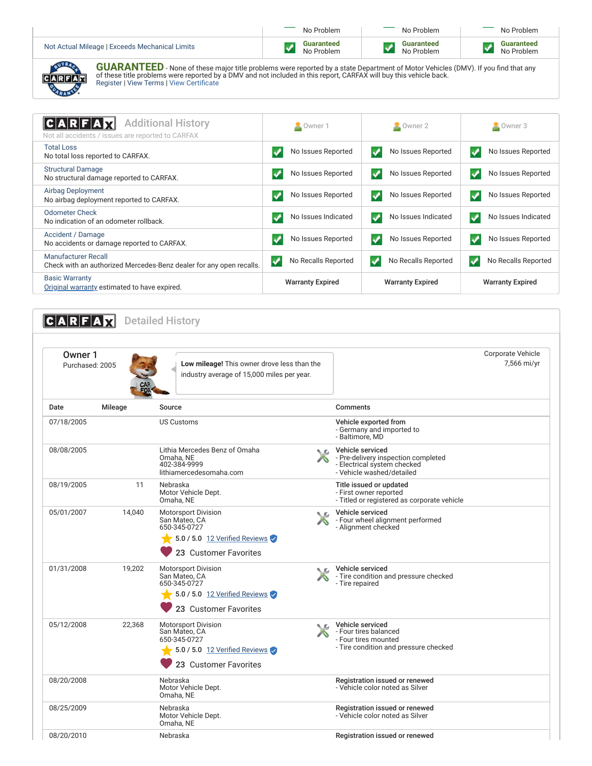|                                                | No Problem                      | No Problem                      | No Problem               |
|------------------------------------------------|---------------------------------|---------------------------------|--------------------------|
| Not Actual Mileage   Exceeds Mechanical Limits | <b>Guaranteed</b><br>No Problem | <b>Guaranteed</b><br>No Problem | Guaranteed<br>No Problem |
| <b>ALVES</b><br><b>AULA BANTEER</b>            |                                 |                                 |                          |

| 1-<br>ı |
|---------|
|         |

**GUARANTEED** - None of these major title problems were reported by a state Department of Motor Vehicles (DMV). If you find that any<br>of these title problems were reported by a DMV and not included in this report, CARFAX wil

<span id="page-1-0"></span>

| C A R F A H<br><b>Additional History</b><br>Not all accidents / issues are reported to CARFAX | Owner 1                 | $\sim$ Owner 2          | Owner 3                 |
|-----------------------------------------------------------------------------------------------|-------------------------|-------------------------|-------------------------|
| <b>Total Loss</b>                                                                             | No Issues Reported      | No Issues Reported      | No Issues Reported      |
| No total loss reported to CARFAX.                                                             |                         | ✔                       | ✔                       |
| <b>Structural Damage</b>                                                                      | No Issues Reported      | ✔                       | No Issues Reported      |
| No structural damage reported to CARFAX.                                                      | ✔                       | No Issues Reported      | v                       |
| Airbag Deployment                                                                             | No Issues Reported      | No Issues Reported      | No Issues Reported      |
| No airbag deployment reported to CARFAX.                                                      |                         | ✔                       | ✔                       |
| Odometer Check                                                                                | No Issues Indicated     | No Issues Indicated     | No Issues Indicated     |
| No indication of an odometer rollback.                                                        |                         | ✔                       | ✓                       |
| Accident / Damage                                                                             | No Issues Reported      | No Issues Reported      | No Issues Reported      |
| No accidents or damage reported to CARFAX.                                                    | $\blacktriangledown$    | ✔                       | V                       |
| Manufacturer Recall                                                                           | No Recalls Reported     | No Recalls Reported     | No Recalls Reported     |
| Check with an authorized Mercedes-Benz dealer for any open recalls.                           | ✓                       | ✔                       | v                       |
| <b>Basic Warranty</b><br>Original warranty estimated to have expired.                         | <b>Warranty Expired</b> | <b>Warranty Expired</b> | <b>Warranty Expired</b> |

## <span id="page-1-1"></span>**CARFAX** Detailed History

| Owner 1<br>Purchased: 2005 |         | Low mileage! This owner drove less than the<br>industry average of 15,000 miles per year.    |     |                                                                                                                     | Corporate Vehicle<br>7,566 mi/yr |
|----------------------------|---------|----------------------------------------------------------------------------------------------|-----|---------------------------------------------------------------------------------------------------------------------|----------------------------------|
| Date                       | Mileage | Source                                                                                       |     | Comments                                                                                                            |                                  |
| 07/18/2005                 |         | <b>US Customs</b>                                                                            |     | Vehicle exported from<br>- Germany and imported to<br>- Baltimore, MD                                               |                                  |
| 08/08/2005                 |         | Lithia Mercedes Benz of Omaha<br>Omaha, NE<br>402-384-9999<br>lithiamercedesomaha.com        | NΩ  | Vehicle serviced<br>- Pre-delivery inspection completed<br>- Electrical system checked<br>- Vehicle washed/detailed |                                  |
| 08/19/2005                 | 11      | Nebraska<br>Motor Vehicle Dept.<br>Omaha, NE                                                 |     | Title issued or updated<br>- First owner reported<br>- Titled or registered as corporate vehicle                    |                                  |
| 05/01/2007                 | 14,040  | Motorsport Division<br>San Mateo, CA<br>650-345-0727                                         | ١c  | Vehicle serviced<br>- Four wheel alignment performed<br>- Alignment checked                                         |                                  |
|                            |         | 5.0 / 5.0 12 Verified Reviews<br>23 Customer Favorites                                       |     |                                                                                                                     |                                  |
| 01/31/2008                 | 19.202  | <b>Motorsport Division</b><br>San Mateo, CA<br>650-345-0727                                  | N.C | Vehicle serviced<br>- Tire condition and pressure checked<br>- Tire repaired                                        |                                  |
|                            |         | 5.0 / 5.0 12 Verified Reviews<br>23 Customer Favorites                                       |     |                                                                                                                     |                                  |
| 05/12/2008                 | 22,368  | <b>Motorsport Division</b><br>San Mateo, CA<br>650-345-0727<br>5.0 / 5.0 12 Verified Reviews | ◟   | Vehicle serviced<br>- Four tires balanced<br>- Four tires mounted<br>- Tire condition and pressure checked          |                                  |
|                            |         | 23 Customer Favorites                                                                        |     |                                                                                                                     |                                  |
| 08/20/2008                 |         | Nebraska<br>Motor Vehicle Dept.<br>Omaha, NE                                                 |     | Registration issued or renewed<br>- Vehicle color noted as Silver                                                   |                                  |
| 08/25/2009                 |         | Nebraska<br>Motor Vehicle Dept.<br>Omaha, NE                                                 |     | Registration issued or renewed<br>- Vehicle color noted as Silver                                                   |                                  |
| 08/20/2010                 |         | Nebraska                                                                                     |     | Registration issued or renewed                                                                                      |                                  |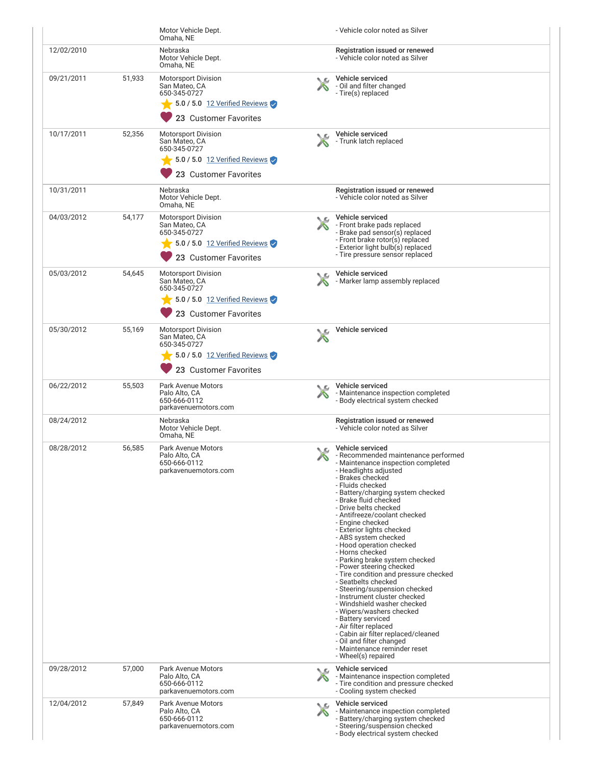|            |        | Motor Vehicle Dept.<br>Omaha, NE                                                                                                    |     | - Vehicle color noted as Silver                                                                                                                                                                                                                                                                                                                                                                                                                                                                                                                                                                                                                                                                                                                                                                                                                  |
|------------|--------|-------------------------------------------------------------------------------------------------------------------------------------|-----|--------------------------------------------------------------------------------------------------------------------------------------------------------------------------------------------------------------------------------------------------------------------------------------------------------------------------------------------------------------------------------------------------------------------------------------------------------------------------------------------------------------------------------------------------------------------------------------------------------------------------------------------------------------------------------------------------------------------------------------------------------------------------------------------------------------------------------------------------|
| 12/02/2010 |        | Nebraska<br>Motor Vehicle Dept.<br>Omaha, NE                                                                                        |     | Registration issued or renewed<br>- Vehicle color noted as Silver                                                                                                                                                                                                                                                                                                                                                                                                                                                                                                                                                                                                                                                                                                                                                                                |
| 09/21/2011 | 51,933 | <b>Motorsport Division</b><br>San Mateo, CA<br>650-345-0727<br>5.0 / 5.0 12 Verified Reviews<br>23 Customer Favorites               |     | Vehicle serviced<br>- Oil and filter changed<br>- Tire(s) replaced                                                                                                                                                                                                                                                                                                                                                                                                                                                                                                                                                                                                                                                                                                                                                                               |
| 10/17/2011 | 52,356 | <b>Motorsport Division</b><br>San Mateo, CA<br>650-345-0727<br>$\frac{1}{2}$ 5.0 / 5.0 12 Verified Reviews<br>23 Customer Favorites |     | Vehicle serviced<br>- Trunk latch replaced                                                                                                                                                                                                                                                                                                                                                                                                                                                                                                                                                                                                                                                                                                                                                                                                       |
| 10/31/2011 |        | Nebraska<br>Motor Vehicle Dept.<br>Omaha, NE                                                                                        |     | Registration issued or renewed<br>- Vehicle color noted as Silver                                                                                                                                                                                                                                                                                                                                                                                                                                                                                                                                                                                                                                                                                                                                                                                |
| 04/03/2012 | 54,177 | <b>Motorsport Division</b><br>San Mateo, CA<br>650-345-0727<br>$\sqrt{5.0/5.0}$ 12 Verified Reviews<br>23 Customer Favorites        |     | Vehicle serviced<br>- Front brake pads replaced<br>- Brake pad sensor(s) replaced<br>- Front brake rotor(s) replaced<br>- Exterior light bulb(s) replaced<br>- Tire pressure sensor replaced                                                                                                                                                                                                                                                                                                                                                                                                                                                                                                                                                                                                                                                     |
| 05/03/2012 | 54,645 | <b>Motorsport Division</b><br>San Mateo, CA<br>650-345-0727<br>5.0 / 5.0 12 Verified Reviews<br>23 Customer Favorites               |     | Vehicle serviced<br>- Marker lamp assembly replaced                                                                                                                                                                                                                                                                                                                                                                                                                                                                                                                                                                                                                                                                                                                                                                                              |
| 05/30/2012 | 55,169 | <b>Motorsport Division</b><br>San Mateo, CA<br>650-345-0727<br>5.0 / 5.0 12 Verified Reviews<br>23 Customer Favorites               |     | Vehicle serviced                                                                                                                                                                                                                                                                                                                                                                                                                                                                                                                                                                                                                                                                                                                                                                                                                                 |
| 06/22/2012 | 55,503 | Park Avenue Motors<br>Palo Alto, CA<br>650-666-0112<br>parkavenuemotors.com                                                         |     | Vehicle serviced<br>- Maintenance inspection completed<br>- Body electrical system checked                                                                                                                                                                                                                                                                                                                                                                                                                                                                                                                                                                                                                                                                                                                                                       |
| 08/24/2012 |        | Nebraska<br>Motor Vehicle Dept.<br>Omaha, NE                                                                                        |     | Registration issued or renewed<br>- Vehicle color noted as Silver                                                                                                                                                                                                                                                                                                                                                                                                                                                                                                                                                                                                                                                                                                                                                                                |
| 08/28/2012 | 56,585 | <b>Park Avenue Motors</b><br>Palo Alto, CA<br>650-666-0112<br>parkavenuemotors.com                                                  |     | Vehicle serviced<br>- Recommended maintenance performed<br>- Maintenance inspection completed<br>- Headlights adjusted<br>- Brakes checked<br>- Fluids checked<br>- Battery/charging system checked<br>- Brake fluid checked<br>- Drive belts checked<br>- Antifreeze/coolant checked<br>- Engine checked<br>- Exterior lights checked<br>- ABS system checked<br>- Hood operation checked<br>- Horns checked<br>- Parking brake system checked<br>- Power steering checked<br>- Tire condition and pressure checked<br>- Seatbelts checked<br>- Steering/suspension checked<br>- Instrument cluster checked<br>- Windshield washer checked<br>- Wipers/washers checked<br>- Battery serviced<br>- Air filter replaced<br>- Cabin air filter replaced/cleaned<br>- Oil and filter changed<br>- Maintenance reminder reset<br>- Wheel(s) repaired |
| 09/28/2012 | 57,000 | <b>Park Avenue Motors</b><br>Palo Alto, CA<br>650-666-0112<br>parkavenuemotors.com                                                  | NG. | Vehicle serviced<br>- Maintenance inspection completed<br>- Tire condition and pressure checked<br>- Cooling system checked                                                                                                                                                                                                                                                                                                                                                                                                                                                                                                                                                                                                                                                                                                                      |
| 12/04/2012 | 57,849 | <b>Park Avenue Motors</b><br>Palo Alto, CA<br>650-666-0112<br>parkavenuemotors.com                                                  | ╰   | Vehicle serviced<br>- Maintenance inspection completed<br>- Battery/charging system checked<br>- Steering/suspension checked<br>- Body electrical system checked                                                                                                                                                                                                                                                                                                                                                                                                                                                                                                                                                                                                                                                                                 |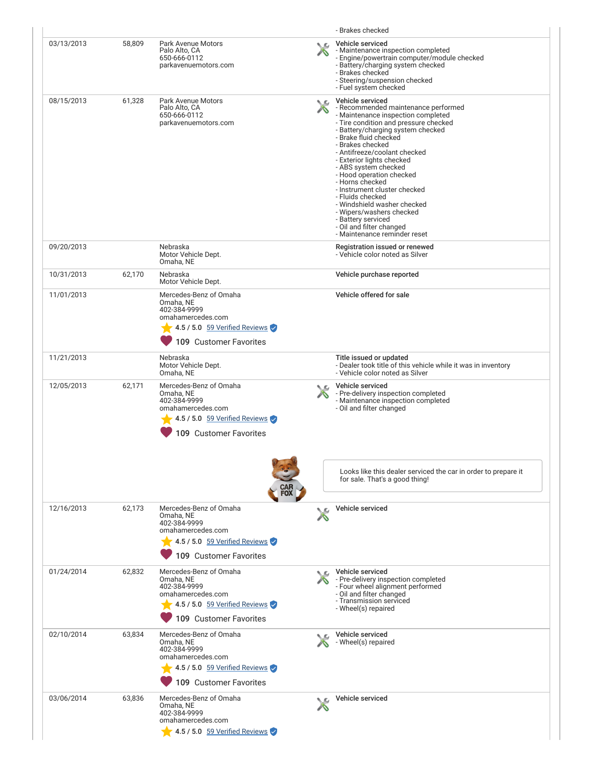|            |        |                                                                                                                                     |               | - Brakes checked                                                                                                                                                                                                                                                                                                                                                                                                                                                                                                                                              |
|------------|--------|-------------------------------------------------------------------------------------------------------------------------------------|---------------|---------------------------------------------------------------------------------------------------------------------------------------------------------------------------------------------------------------------------------------------------------------------------------------------------------------------------------------------------------------------------------------------------------------------------------------------------------------------------------------------------------------------------------------------------------------|
| 03/13/2013 | 58,809 | Park Avenue Motors<br>Palo Alto, CA<br>650-666-0112<br>parkavenuemotors.com                                                         |               | Vehicle serviced<br>- Maintenance inspection completed<br>- Engine/powertrain computer/module checked<br>- Battery/charging system checked<br>- Brakes checked<br>- Steering/suspension checked<br>- Fuel system checked                                                                                                                                                                                                                                                                                                                                      |
| 08/15/2013 | 61,328 | Park Avenue Motors<br>Palo Alto, CA<br>650-666-0112<br>parkavenuemotors.com                                                         | $\chi$        | Vehicle serviced<br>- Recommended maintenance performed<br>- Maintenance inspection completed<br>- Tire condition and pressure checked<br>- Battery/charging system checked<br>- Brake fluid checked<br>- Brakes checked<br>- Antifreeze/coolant checked<br>- Exterior lights checked<br>- ABS system checked<br>- Hood operation checked<br>- Horns checked<br>- Instrument cluster checked<br>- Fluids checked<br>- Windshield washer checked<br>- Wipers/washers checked<br>- Battery serviced<br>- Oil and filter changed<br>- Maintenance reminder reset |
| 09/20/2013 |        | Nebraska<br>Motor Vehicle Dept.<br>Omaha, NE                                                                                        |               | Registration issued or renewed<br>- Vehicle color noted as Silver                                                                                                                                                                                                                                                                                                                                                                                                                                                                                             |
| 10/31/2013 | 62,170 | Nebraska<br>Motor Vehicle Dept.                                                                                                     |               | Vehicle purchase reported                                                                                                                                                                                                                                                                                                                                                                                                                                                                                                                                     |
| 11/01/2013 |        | Mercedes-Benz of Omaha<br>Omaha, NE<br>402-384-9999<br>omahamercedes.com<br>4.5 / 5.0 59 Verified Reviews<br>109 Customer Favorites |               | Vehicle offered for sale                                                                                                                                                                                                                                                                                                                                                                                                                                                                                                                                      |
| 11/21/2013 |        | Nebraska<br>Motor Vehicle Dept.<br>Omaha, NE                                                                                        |               | Title issued or updated<br>- Dealer took title of this vehicle while it was in inventory<br>- Vehicle color noted as Silver                                                                                                                                                                                                                                                                                                                                                                                                                                   |
| 12/05/2013 | 62,171 | Mercedes-Benz of Omaha<br>Omaha, NE<br>402-384-9999<br>omahamercedes.com<br>4.5 / 5.0 59 Verified Reviews<br>109 Customer Favorites | $\mathcal{L}$ | Vehicle serviced<br>- Pre-delivery inspection completed<br>- Maintenance inspection completed<br>- Oil and filter changed                                                                                                                                                                                                                                                                                                                                                                                                                                     |
|            |        |                                                                                                                                     |               | Looks like this dealer serviced the car in order to prepare it<br>for sale. That's a good thing!                                                                                                                                                                                                                                                                                                                                                                                                                                                              |
| 12/16/2013 | 62,173 | Mercedes-Benz of Omaha<br>Omaha, NE<br>402-384-9999<br>omahamercedes.com<br>4.5 / 5.0 59 Verified Reviews<br>109 Customer Favorites |               | Vehicle serviced                                                                                                                                                                                                                                                                                                                                                                                                                                                                                                                                              |
| 01/24/2014 | 62,832 | Mercedes-Benz of Omaha<br>Omaha, NE<br>402-384-9999<br>omahamercedes.com<br>4.5 / 5.0 59 Verified Reviews<br>109 Customer Favorites |               | Vehicle serviced<br>- Pre-delivery inspection completed<br>- Four wheel alignment performed<br>- Oil and filter changed<br>- Transmission serviced<br>- Wheel(s) repaired                                                                                                                                                                                                                                                                                                                                                                                     |
| 02/10/2014 | 63,834 | Mercedes-Benz of Omaha<br>Omaha, NE<br>402-384-9999<br>omahamercedes.com<br>4.5 / 5.0 59 Verified Reviews<br>109 Customer Favorites |               | Vehicle serviced<br>- Wheel(s) repaired                                                                                                                                                                                                                                                                                                                                                                                                                                                                                                                       |
| 03/06/2014 | 63,836 | Mercedes-Benz of Omaha<br>Omaha, NE<br>402-384-9999<br>omahamercedes.com<br>4.5 / 5.0 59 Verified Reviews                           |               | Vehicle serviced                                                                                                                                                                                                                                                                                                                                                                                                                                                                                                                                              |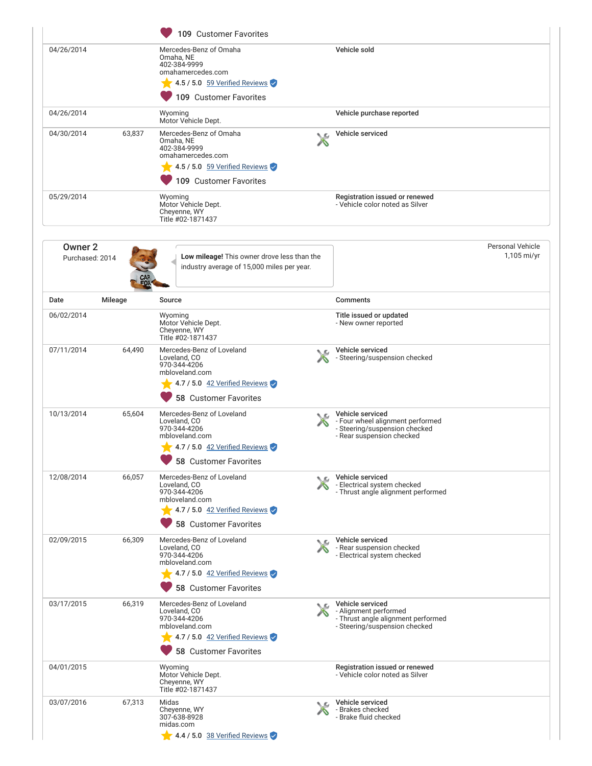|                            |         | 109 Customer Favorites                                                                                                                              |    |                                                                                                                    |                                          |
|----------------------------|---------|-----------------------------------------------------------------------------------------------------------------------------------------------------|----|--------------------------------------------------------------------------------------------------------------------|------------------------------------------|
| 04/26/2014                 |         | Mercedes-Benz of Omaha<br>Omaha, NE<br>402-384-9999<br>omahamercedes.com<br>4.5 / 5.0 59 Verified Reviews<br>109 Customer Favorites                 |    | Vehicle sold                                                                                                       |                                          |
| 04/26/2014                 |         | Wyoming<br>Motor Vehicle Dept.                                                                                                                      |    | Vehicle purchase reported                                                                                          |                                          |
| 04/30/2014                 | 63,837  | Mercedes-Benz of Omaha<br>Omaha, NE<br>402-384-9999<br>omahamercedes.com<br>$4.5/5.0$ 59 Verified Reviews<br>109 Customer Favorites                 |    | Vehicle serviced                                                                                                   |                                          |
| 05/29/2014                 |         | Wyoming<br>Motor Vehicle Dept.<br>Cheyenne, WY<br>Title #02-1871437                                                                                 |    | Registration issued or renewed<br>- Vehicle color noted as Silver                                                  |                                          |
| Owner 2<br>Purchased: 2014 |         | Low mileage! This owner drove less than the<br>industry average of 15,000 miles per year.                                                           |    |                                                                                                                    | <b>Personal Vehicle</b><br>$1,105$ mi/yr |
| Date                       | Mileage | Source                                                                                                                                              |    | <b>Comments</b>                                                                                                    |                                          |
| 06/02/2014                 |         | Wyoming<br>Motor Vehicle Dept.<br>Cheyenne, WY<br>Title #02-1871437                                                                                 |    | Title issued or updated<br>- New owner reported                                                                    |                                          |
| 07/11/2014                 | 64,490  | Mercedes-Benz of Loveland<br>Loveland, CO<br>970-344-4206<br>mbloveland.com<br>4.7 / 5.0 42 Verified Reviews<br>58 Customer Favorites               |    | Vehicle serviced<br>- Steering/suspension checked                                                                  |                                          |
| 10/13/2014                 | 65,604  | Mercedes-Benz of Loveland<br>Loveland, CO<br>970-344-4206<br>mbloveland.com<br>$\sqrt{4.7 / 5.0}$ 42 Verified Reviews<br>58 Customer Favorites      |    | Vehicle serviced<br>- Four wheel alignment performed<br>- Steering/suspension checked<br>- Rear suspension checked |                                          |
| 12/08/2014                 | 66,057  | Mercedes-Benz of Loveland<br>Loveland, CO<br>970-344-4206<br>mbloveland.com<br>$4.7/5.0$ 42 Verified Reviews<br>58 Customer Favorites               |    | Vehicle serviced<br>- Electrical system checked<br>- Thrust angle alignment performed                              |                                          |
| 02/09/2015                 | 66,309  | Mercedes-Benz of Loveland<br>Loveland, CO<br>970-344-4206<br>mbloveland.com<br>$\sqrt{4.7 / 5.0}$ 42 Verified Reviews<br>58 Customer Favorites      | ◟௳ | Vehicle serviced<br>- Rear suspension checked<br>- Electrical system checked                                       |                                          |
| 03/17/2015                 | 66,319  | Mercedes-Benz of Loveland<br>Loveland, CO<br>970-344-4206<br>mbloveland.com<br>$\sqrt{4.7/5.0}$ 42 Verified Reviews<br><b>58 Customer Favorites</b> |    | Vehicle serviced<br>- Alignment performed<br>- Thrust angle alignment performed<br>- Steering/suspension checked   |                                          |
| 04/01/2015                 |         | Wyoming<br>Motor Vehicle Dept.<br>Cheyenne, WY<br>Title #02-1871437                                                                                 |    | Registration issued or renewed<br>- Vehicle color noted as Silver                                                  |                                          |
| 03/07/2016                 | 67,313  | Midas<br>Cheyenne, WY<br>307-638-8928<br>midas.com<br>$4.4 / 5.0$ 38 Verified Reviews                                                               |    | Vehicle serviced<br>- Brakes checked<br>- Brake fluid checked                                                      |                                          |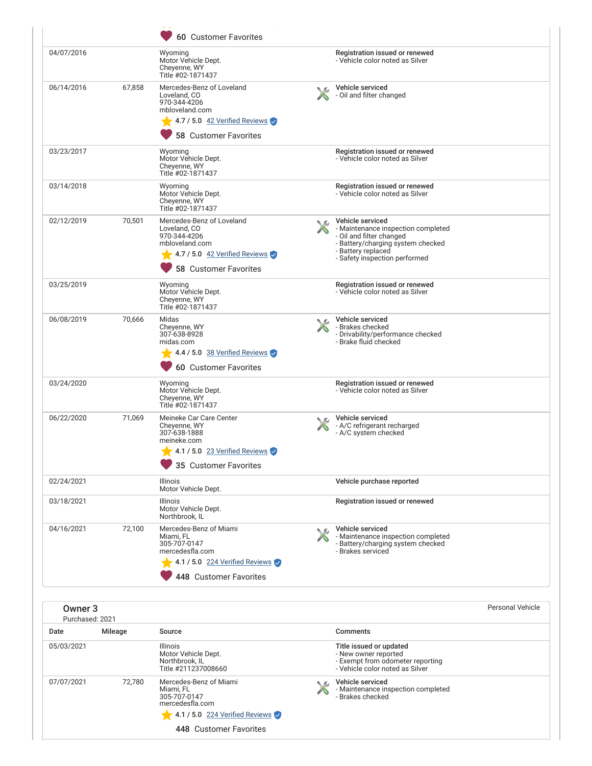|                                       |         | 60 Customer Favorites                                                                                                                                                           |                      |                                                                                                                                                                                |                         |
|---------------------------------------|---------|---------------------------------------------------------------------------------------------------------------------------------------------------------------------------------|----------------------|--------------------------------------------------------------------------------------------------------------------------------------------------------------------------------|-------------------------|
| 04/07/2016                            |         | Wyoming<br>Motor Vehicle Dept.<br>Cheyenne, WY<br>Title #02-1871437                                                                                                             |                      | Registration issued or renewed<br>- Vehicle color noted as Silver                                                                                                              |                         |
| 06/14/2016                            | 67.858  | Mercedes-Benz of Loveland<br>Loveland, CO<br>970-344-4206<br>mbloveland.com<br>$\blacktriangleright$ 4.7 / 5.0 $\frac{42 \text{ Verified Reviews}}{2}$<br>58 Customer Favorites | ᄉ                    | Vehicle serviced<br>- Oil and filter changed                                                                                                                                   |                         |
| 03/23/2017                            |         | Wyoming<br>Motor Vehicle Dept.<br>Cheyenne, WY<br>Title #02-1871437                                                                                                             |                      | Registration issued or renewed<br>- Vehicle color noted as Silver                                                                                                              |                         |
| 03/14/2018                            |         | Wyoming<br>Motor Vehicle Dept.<br>Cheyenne, WY<br>Title #02-1871437                                                                                                             |                      | Registration issued or renewed<br>- Vehicle color noted as Silver                                                                                                              |                         |
| 02/12/2019                            | 70,501  | Mercedes-Benz of Loveland<br>Loveland, CO<br>970-344-4206<br>mbloveland.com<br>4.7 / 5.0 42 Verified Reviews<br>58 Customer Favorites                                           | N.G.<br>A            | Vehicle serviced<br>- Maintenance inspection completed<br>- Oil and filter changed<br>- Battery/charging system checked<br>- Battery replaced<br>- Safety inspection performed |                         |
| 03/25/2019                            |         | Wyoming<br>Motor Vehicle Dept.<br>Cheyenne, WY<br>Title #02-1871437                                                                                                             |                      | Registration issued or renewed<br>- Vehicle color noted as Silver                                                                                                              |                         |
| 06/08/2019                            | 70,666  | Midas<br>Cheyenne, WY<br>307-638-8928<br>midas.com<br>$\blacktriangleright$ 4.4 / 5.0 38 Verified Reviews<br>60 Customer Favorites                                              | $\Delta \mathcal{L}$ | Vehicle serviced<br>- Brakes checked<br>- Drivability/performance checked<br>- Brake fluid checked                                                                             |                         |
| 03/24/2020                            |         | Wyoming<br>Motor Vehicle Dept.<br>Cheyenne, WY<br>Title #02-1871437                                                                                                             |                      | Registration issued or renewed<br>- Vehicle color noted as Silver                                                                                                              |                         |
| 06/22/2020                            | 71,069  | Meineke Car Care Center<br>Cheyenne, WY<br>307-638-1888<br>meineke.com<br>$\sim$ 4.1 / 5.0 23 Verified Reviews<br>35 Customer Favorites                                         | ◟௳                   | Vehicle serviced<br>- A/C refrigerant recharged<br>- A/C system checked                                                                                                        |                         |
| 02/24/2021                            |         | <b>Illinois</b><br>Motor Vehicle Dept.                                                                                                                                          |                      | Vehicle purchase reported                                                                                                                                                      |                         |
| 03/18/2021                            |         | Illinois<br>Motor Vehicle Dept.<br>Northbrook, IL                                                                                                                               |                      | Registration issued or renewed                                                                                                                                                 |                         |
| 04/16/2021                            | 72,100  | Mercedes-Benz of Miami<br>Miami, FL<br>305-707-0147<br>mercedesfla.com<br>4.1 / 5.0 224 Verified Reviews<br>448 Customer Favorites                                              | ◟௳                   | Vehicle serviced<br>- Maintenance inspection completed<br>- Battery/charging system checked<br>- Brakes serviced                                                               |                         |
| Owner <sub>3</sub><br>Purchased: 2021 |         |                                                                                                                                                                                 |                      |                                                                                                                                                                                | <b>Personal Vehicle</b> |
| Date                                  | Mileage | Source                                                                                                                                                                          |                      | Comments                                                                                                                                                                       |                         |
| 05/03/2021                            |         | Illinois<br>Motor Vehicle Dept.<br>Northbrook, IL<br>Title #211237008660                                                                                                        |                      | Title issued or updated<br>- New owner reported<br>- Exempt from odometer reporting<br>- Vehicle color noted as Silver                                                         |                         |
| 07/07/2021                            | 72,780  | Mercedes-Benz of Miami<br>Miami, FL<br>305-707-0147<br>mercedesfla.com<br>4.1 / 5.0 224 Verified Reviews                                                                        | ↖                    | Vehicle serviced<br>- Maintenance inspection completed<br>- Brakes checked                                                                                                     |                         |
|                                       |         | 448 Customer Favorites                                                                                                                                                          |                      |                                                                                                                                                                                |                         |